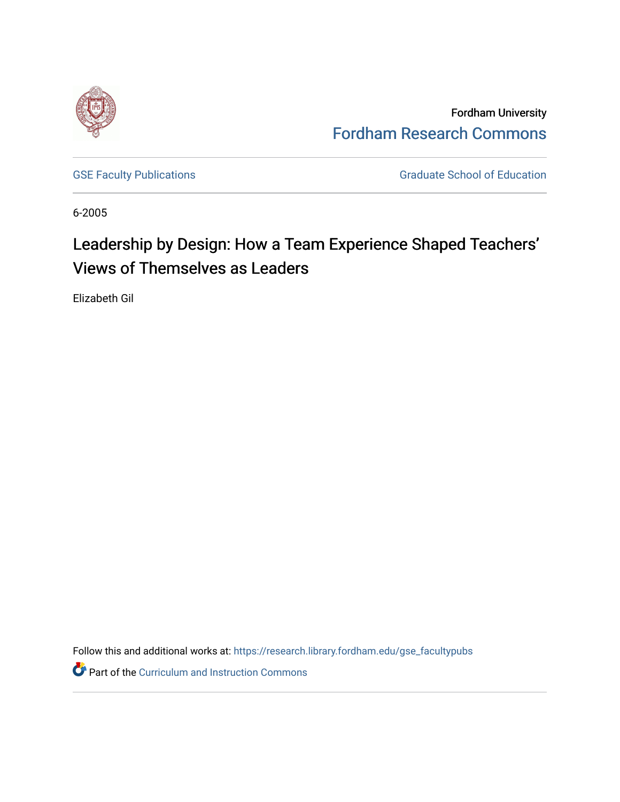

Fordham University [Fordham Research Commons](https://research.library.fordham.edu/) 

[GSE Faculty Publications](https://research.library.fordham.edu/gse_facultypubs) **GRADUATE SCHOOL SECTION** Graduate School of Education

6-2005

# Leadership by Design: How a Team Experience Shaped Teachers' Views of Themselves as Leaders

Elizabeth Gil

Follow this and additional works at: [https://research.library.fordham.edu/gse\\_facultypubs](https://research.library.fordham.edu/gse_facultypubs?utm_source=research.library.fordham.edu%2Fgse_facultypubs%2F3&utm_medium=PDF&utm_campaign=PDFCoverPages)

**Part of the Curriculum and Instruction Commons**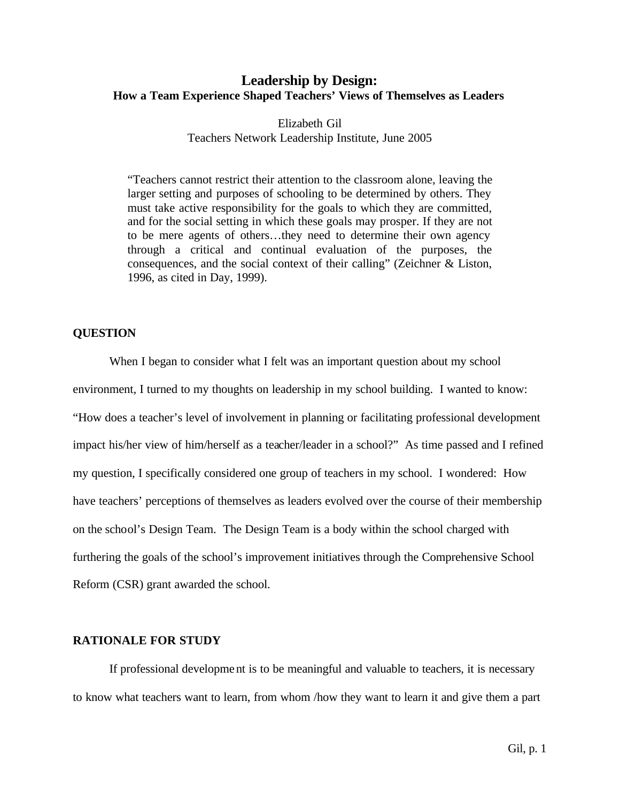# **Leadership by Design: How a Team Experience Shaped Teachers' Views of Themselves as Leaders**

Elizabeth Gil Teachers Network Leadership Institute, June 2005

"Teachers cannot restrict their attention to the classroom alone, leaving the larger setting and purposes of schooling to be determined by others. They must take active responsibility for the goals to which they are committed, and for the social setting in which these goals may prosper. If they are not to be mere agents of others…they need to determine their own agency through a critical and continual evaluation of the purposes, the consequences, and the social context of their calling" (Zeichner & Liston, 1996, as cited in Day, 1999).

#### **QUESTION**

When I began to consider what I felt was an important question about my school environment, I turned to my thoughts on leadership in my school building. I wanted to know: "How does a teacher's level of involvement in planning or facilitating professional development impact his/her view of him/herself as a teacher/leader in a school?" As time passed and I refined my question, I specifically considered one group of teachers in my school. I wondered: How have teachers' perceptions of themselves as leaders evolved over the course of their membership on the school's Design Team. The Design Team is a body within the school charged with furthering the goals of the school's improvement initiatives through the Comprehensive School Reform (CSR) grant awarded the school.

#### **RATIONALE FOR STUDY**

If professional development is to be meaningful and valuable to teachers, it is necessary to know what teachers want to learn, from whom /how they want to learn it and give them a part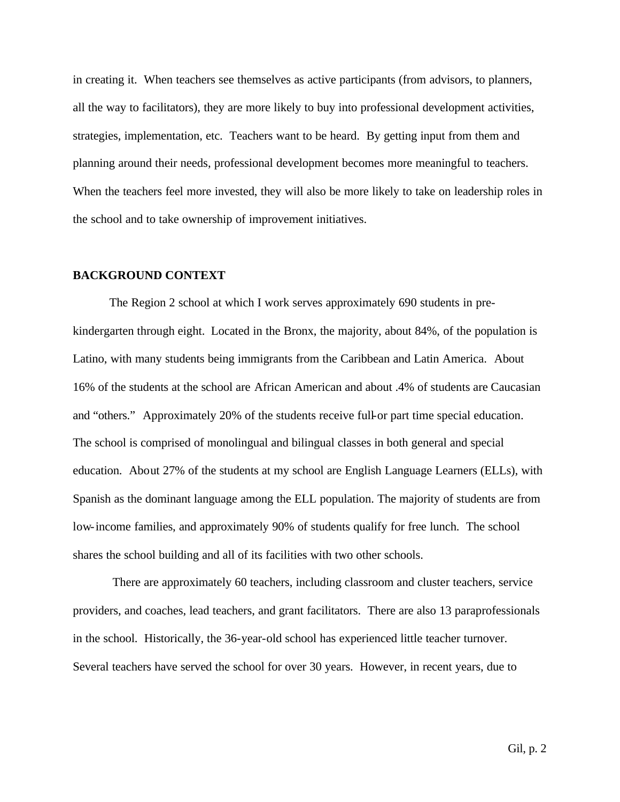in creating it. When teachers see themselves as active participants (from advisors, to planners, all the way to facilitators), they are more likely to buy into professional development activities, strategies, implementation, etc. Teachers want to be heard. By getting input from them and planning around their needs, professional development becomes more meaningful to teachers. When the teachers feel more invested, they will also be more likely to take on leadership roles in the school and to take ownership of improvement initiatives.

#### **BACKGROUND CONTEXT**

The Region 2 school at which I work serves approximately 690 students in prekindergarten through eight. Located in the Bronx, the majority, about 84%, of the population is Latino, with many students being immigrants from the Caribbean and Latin America. About 16% of the students at the school are African American and about .4% of students are Caucasian and "others." Approximately 20% of the students receive full-or part time special education. The school is comprised of monolingual and bilingual classes in both general and special education. About 27% of the students at my school are English Language Learners (ELLs), with Spanish as the dominant language among the ELL population. The majority of students are from low-income families, and approximately 90% of students qualify for free lunch. The school shares the school building and all of its facilities with two other schools.

 There are approximately 60 teachers, including classroom and cluster teachers, service providers, and coaches, lead teachers, and grant facilitators. There are also 13 paraprofessionals in the school. Historically, the 36-year-old school has experienced little teacher turnover. Several teachers have served the school for over 30 years. However, in recent years, due to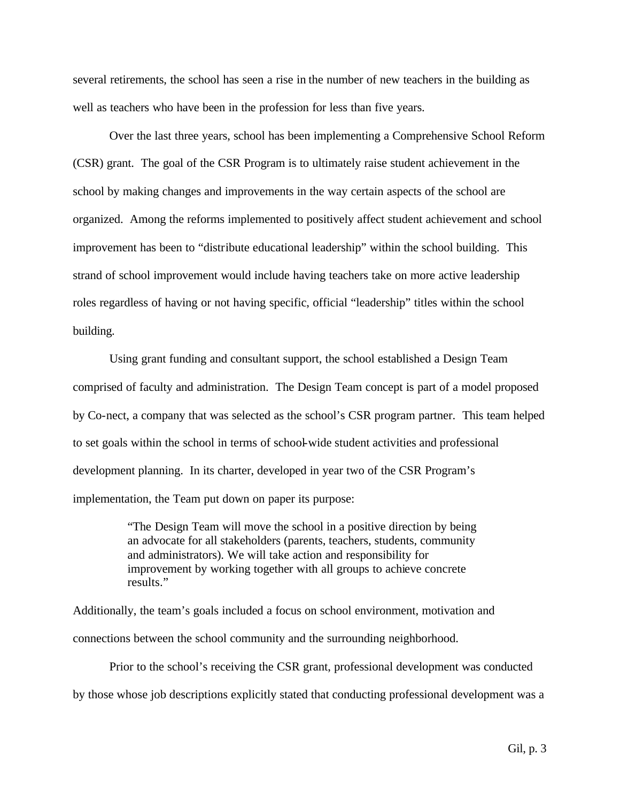several retirements, the school has seen a rise in the number of new teachers in the building as well as teachers who have been in the profession for less than five years.

Over the last three years, school has been implementing a Comprehensive School Reform (CSR) grant. The goal of the CSR Program is to ultimately raise student achievement in the school by making changes and improvements in the way certain aspects of the school are organized. Among the reforms implemented to positively affect student achievement and school improvement has been to "distribute educational leadership" within the school building. This strand of school improvement would include having teachers take on more active leadership roles regardless of having or not having specific, official "leadership" titles within the school building.

Using grant funding and consultant support, the school established a Design Team comprised of faculty and administration. The Design Team concept is part of a model proposed by Co-nect, a company that was selected as the school's CSR program partner. This team helped to set goals within the school in terms of school-wide student activities and professional development planning. In its charter, developed in year two of the CSR Program's implementation, the Team put down on paper its purpose:

> "The Design Team will move the school in a positive direction by being an advocate for all stakeholders (parents, teachers, students, community and administrators). We will take action and responsibility for improvement by working together with all groups to achieve concrete results."

Additionally, the team's goals included a focus on school environment, motivation and connections between the school community and the surrounding neighborhood.

Prior to the school's receiving the CSR grant, professional development was conducted by those whose job descriptions explicitly stated that conducting professional development was a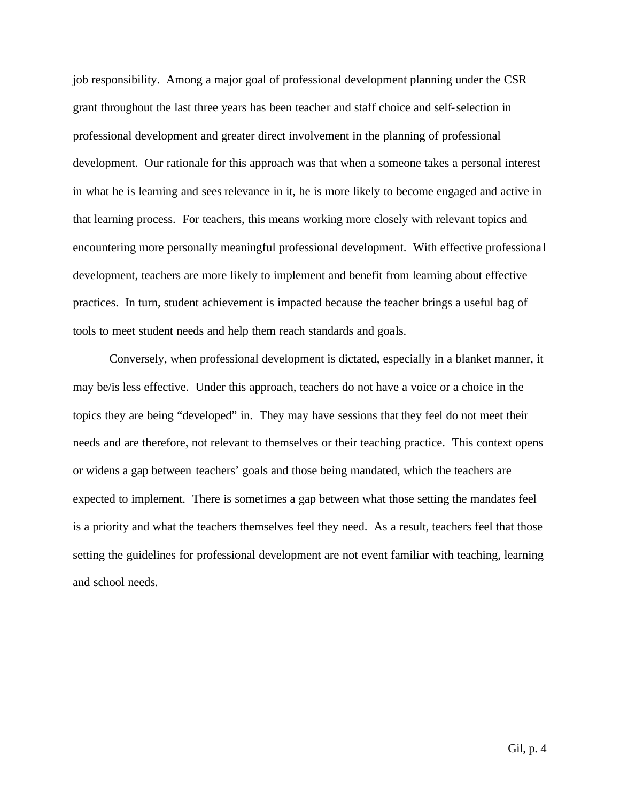job responsibility. Among a major goal of professional development planning under the CSR grant throughout the last three years has been teacher and staff choice and self-selection in professional development and greater direct involvement in the planning of professional development. Our rationale for this approach was that when a someone takes a personal interest in what he is learning and sees relevance in it, he is more likely to become engaged and active in that learning process. For teachers, this means working more closely with relevant topics and encountering more personally meaningful professional development. With effective professiona l development, teachers are more likely to implement and benefit from learning about effective practices. In turn, student achievement is impacted because the teacher brings a useful bag of tools to meet student needs and help them reach standards and goals.

Conversely, when professional development is dictated, especially in a blanket manner, it may be/is less effective. Under this approach, teachers do not have a voice or a choice in the topics they are being "developed" in. They may have sessions that they feel do not meet their needs and are therefore, not relevant to themselves or their teaching practice. This context opens or widens a gap between teachers' goals and those being mandated, which the teachers are expected to implement. There is sometimes a gap between what those setting the mandates feel is a priority and what the teachers themselves feel they need. As a result, teachers feel that those setting the guidelines for professional development are not event familiar with teaching, learning and school needs.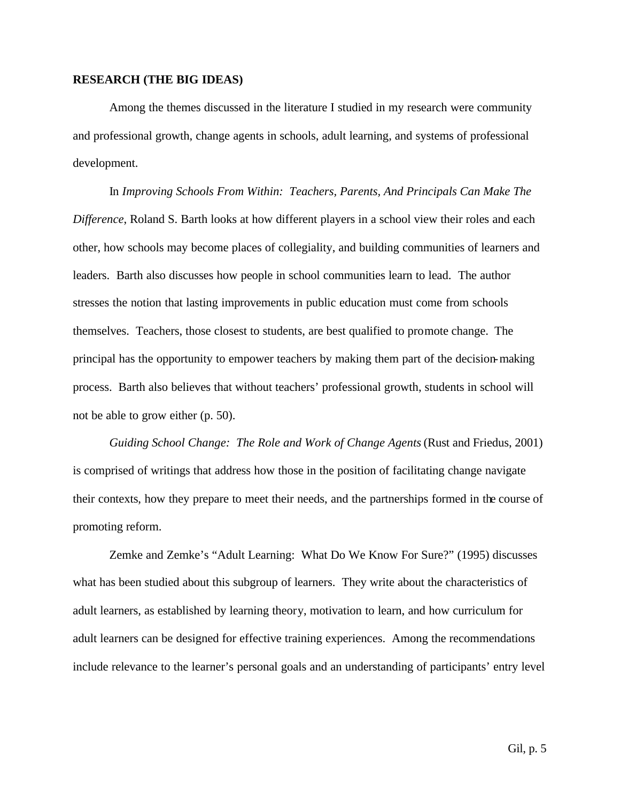#### **RESEARCH (THE BIG IDEAS)**

Among the themes discussed in the literature I studied in my research were community and professional growth, change agents in schools, adult learning, and systems of professional development.

In *Improving Schools From Within: Teachers, Parents, And Principals Can Make The Difference*, Roland S. Barth looks at how different players in a school view their roles and each other, how schools may become places of collegiality, and building communities of learners and leaders. Barth also discusses how people in school communities learn to lead. The author stresses the notion that lasting improvements in public education must come from schools themselves. Teachers, those closest to students, are best qualified to promote change. The principal has the opportunity to empower teachers by making them part of the decision-making process. Barth also believes that without teachers' professional growth, students in school will not be able to grow either (p. 50).

*Guiding School Change: The Role and Work of Change Agents* (Rust and Friedus, 2001) is comprised of writings that address how those in the position of facilitating change navigate their contexts, how they prepare to meet their needs, and the partnerships formed in the course of promoting reform.

Zemke and Zemke's "Adult Learning: What Do We Know For Sure?" (1995) discusses what has been studied about this subgroup of learners. They write about the characteristics of adult learners, as established by learning theory, motivation to learn, and how curriculum for adult learners can be designed for effective training experiences. Among the recommendations include relevance to the learner's personal goals and an understanding of participants' entry level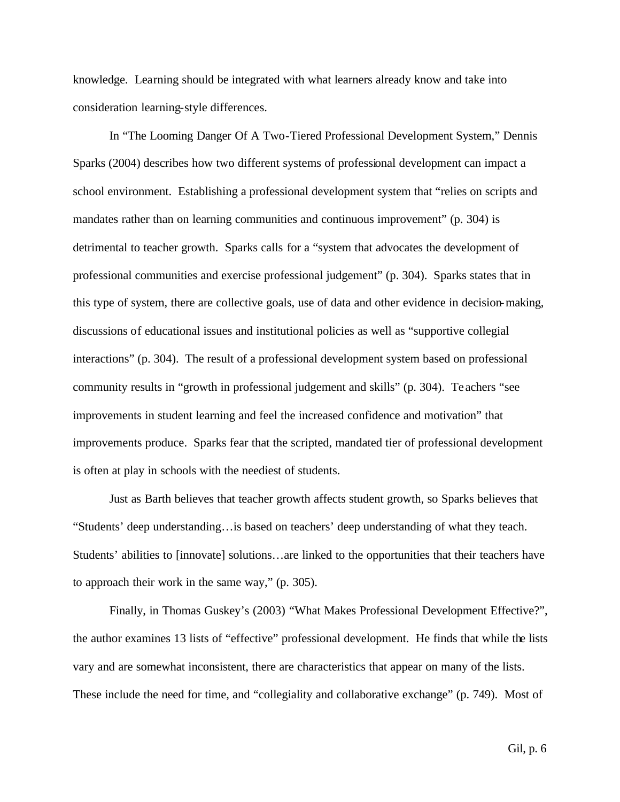knowledge. Learning should be integrated with what learners already know and take into consideration learning-style differences.

In "The Looming Danger Of A Two-Tiered Professional Development System," Dennis Sparks (2004) describes how two different systems of professional development can impact a school environment. Establishing a professional development system that "relies on scripts and mandates rather than on learning communities and continuous improvement" (p. 304) is detrimental to teacher growth. Sparks calls for a "system that advocates the development of professional communities and exercise professional judgement" (p. 304). Sparks states that in this type of system, there are collective goals, use of data and other evidence in decision-making, discussions of educational issues and institutional policies as well as "supportive collegial interactions" (p. 304). The result of a professional development system based on professional community results in "growth in professional judgement and skills" (p. 304). Te achers "see improvements in student learning and feel the increased confidence and motivation" that improvements produce. Sparks fear that the scripted, mandated tier of professional development is often at play in schools with the neediest of students.

Just as Barth believes that teacher growth affects student growth, so Sparks believes that "Students' deep understanding…is based on teachers' deep understanding of what they teach. Students' abilities to [innovate] solutions…are linked to the opportunities that their teachers have to approach their work in the same way," (p. 305).

Finally, in Thomas Guskey's (2003) "What Makes Professional Development Effective?", the author examines 13 lists of "effective" professional development. He finds that while the lists vary and are somewhat inconsistent, there are characteristics that appear on many of the lists. These include the need for time, and "collegiality and collaborative exchange" (p. 749). Most of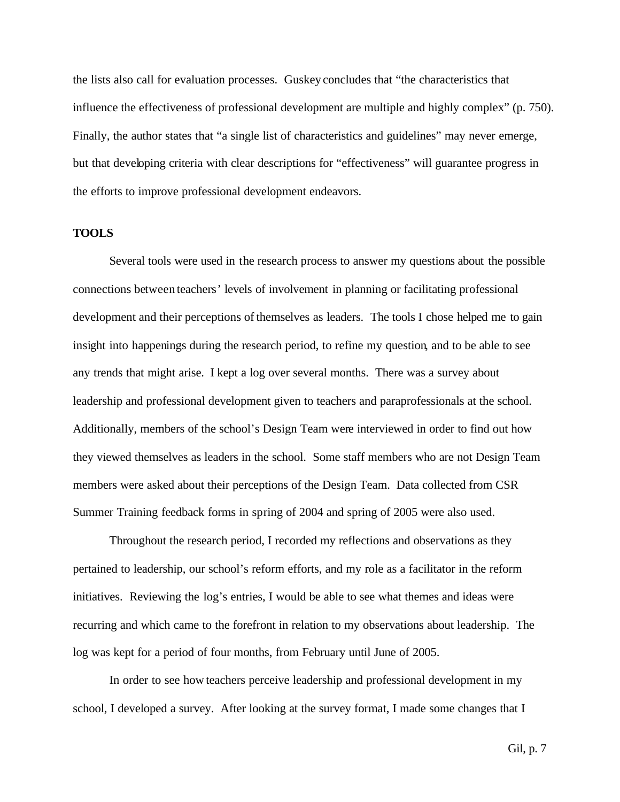the lists also call for evaluation processes. Guskey concludes that "the characteristics that influence the effectiveness of professional development are multiple and highly complex" (p. 750). Finally, the author states that "a single list of characteristics and guidelines" may never emerge, but that developing criteria with clear descriptions for "effectiveness" will guarantee progress in the efforts to improve professional development endeavors.

#### **TOOLS**

Several tools were used in the research process to answer my questions about the possible connections between teachers' levels of involvement in planning or facilitating professional development and their perceptions of themselves as leaders. The tools I chose helped me to gain insight into happenings during the research period, to refine my question, and to be able to see any trends that might arise. I kept a log over several months. There was a survey about leadership and professional development given to teachers and paraprofessionals at the school. Additionally, members of the school's Design Team were interviewed in order to find out how they viewed themselves as leaders in the school. Some staff members who are not Design Team members were asked about their perceptions of the Design Team. Data collected from CSR Summer Training feedback forms in spring of 2004 and spring of 2005 were also used.

Throughout the research period, I recorded my reflections and observations as they pertained to leadership, our school's reform efforts, and my role as a facilitator in the reform initiatives. Reviewing the log's entries, I would be able to see what themes and ideas were recurring and which came to the forefront in relation to my observations about leadership. The log was kept for a period of four months, from February until June of 2005.

In order to see how teachers perceive leadership and professional development in my school, I developed a survey. After looking at the survey format, I made some changes that I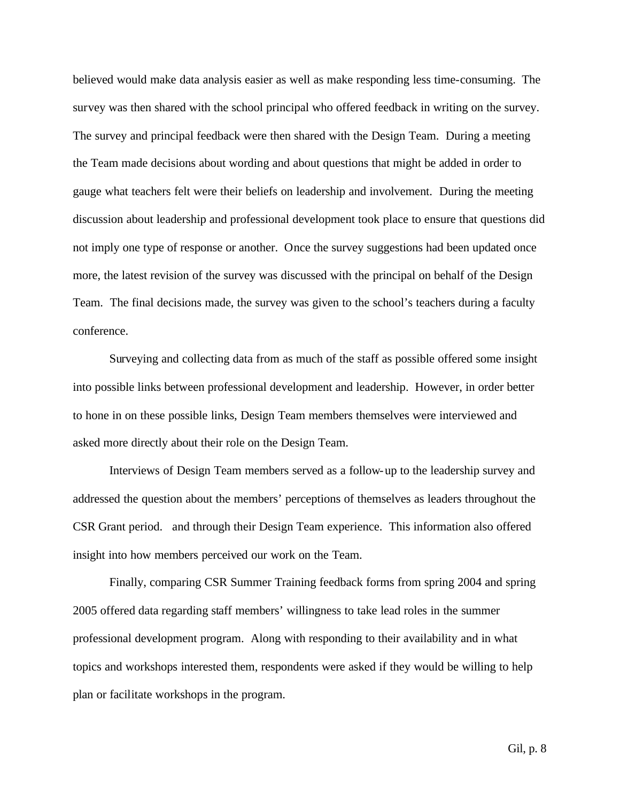believed would make data analysis easier as well as make responding less time-consuming. The survey was then shared with the school principal who offered feedback in writing on the survey. The survey and principal feedback were then shared with the Design Team. During a meeting the Team made decisions about wording and about questions that might be added in order to gauge what teachers felt were their beliefs on leadership and involvement. During the meeting discussion about leadership and professional development took place to ensure that questions did not imply one type of response or another. Once the survey suggestions had been updated once more, the latest revision of the survey was discussed with the principal on behalf of the Design Team. The final decisions made, the survey was given to the school's teachers during a faculty conference.

Surveying and collecting data from as much of the staff as possible offered some insight into possible links between professional development and leadership. However, in order better to hone in on these possible links, Design Team members themselves were interviewed and asked more directly about their role on the Design Team.

Interviews of Design Team members served as a follow-up to the leadership survey and addressed the question about the members' perceptions of themselves as leaders throughout the CSR Grant period. and through their Design Team experience. This information also offered insight into how members perceived our work on the Team.

Finally, comparing CSR Summer Training feedback forms from spring 2004 and spring 2005 offered data regarding staff members' willingness to take lead roles in the summer professional development program. Along with responding to their availability and in what topics and workshops interested them, respondents were asked if they would be willing to help plan or facilitate workshops in the program.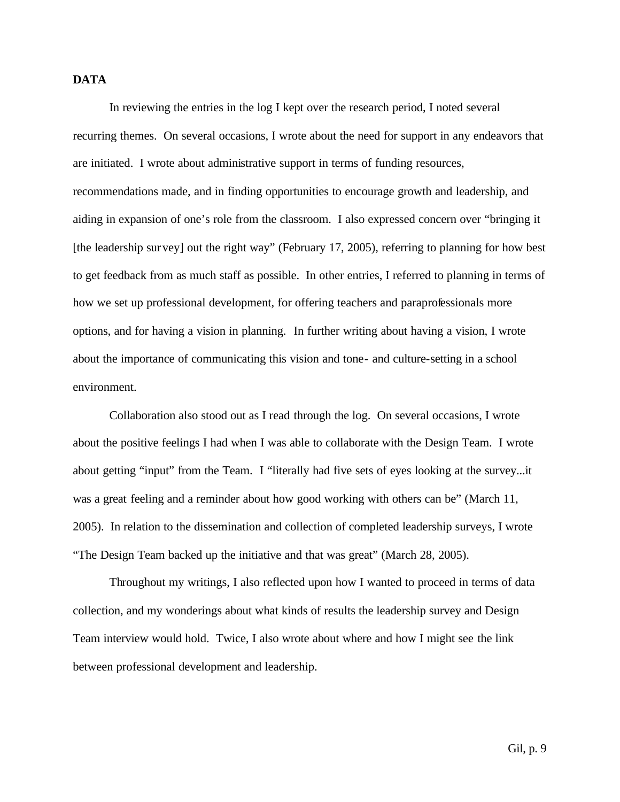# **DATA**

In reviewing the entries in the log I kept over the research period, I noted several recurring themes. On several occasions, I wrote about the need for support in any endeavors that are initiated. I wrote about administrative support in terms of funding resources, recommendations made, and in finding opportunities to encourage growth and leadership, and aiding in expansion of one's role from the classroom. I also expressed concern over "bringing it [the leadership survey] out the right way" (February 17, 2005), referring to planning for how best to get feedback from as much staff as possible. In other entries, I referred to planning in terms of how we set up professional development, for offering teachers and paraprofessionals more options, and for having a vision in planning. In further writing about having a vision, I wrote about the importance of communicating this vision and tone- and culture-setting in a school environment.

Collaboration also stood out as I read through the log. On several occasions, I wrote about the positive feelings I had when I was able to collaborate with the Design Team. I wrote about getting "input" from the Team. I "literally had five sets of eyes looking at the survey...it was a great feeling and a reminder about how good working with others can be" (March 11, 2005). In relation to the dissemination and collection of completed leadership surveys, I wrote "The Design Team backed up the initiative and that was great" (March 28, 2005).

Throughout my writings, I also reflected upon how I wanted to proceed in terms of data collection, and my wonderings about what kinds of results the leadership survey and Design Team interview would hold. Twice, I also wrote about where and how I might see the link between professional development and leadership.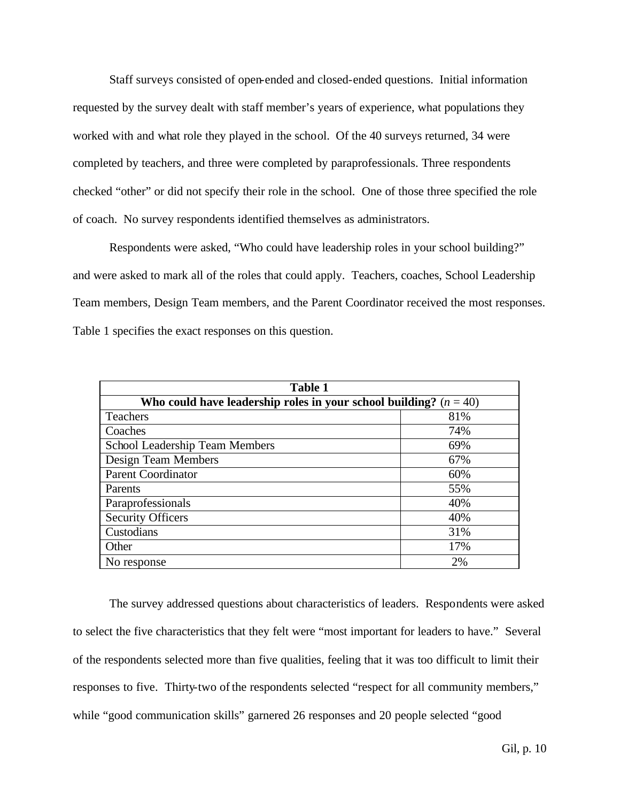Staff surveys consisted of open-ended and closed-ended questions. Initial information requested by the survey dealt with staff member's years of experience, what populations they worked with and what role they played in the school. Of the 40 surveys returned, 34 were completed by teachers, and three were completed by paraprofessionals. Three respondents checked "other" or did not specify their role in the school. One of those three specified the role of coach. No survey respondents identified themselves as administrators.

Respondents were asked, "Who could have leadership roles in your school building?" and were asked to mark all of the roles that could apply. Teachers, coaches, School Leadership Team members, Design Team members, and the Parent Coordinator received the most responses. Table 1 specifies the exact responses on this question.

| <b>Table 1</b>                                                      |     |  |  |
|---------------------------------------------------------------------|-----|--|--|
| Who could have leadership roles in your school building? $(n = 40)$ |     |  |  |
| Teachers                                                            | 81% |  |  |
| Coaches                                                             | 74% |  |  |
| School Leadership Team Members                                      | 69% |  |  |
| Design Team Members                                                 | 67% |  |  |
| Parent Coordinator                                                  | 60% |  |  |
| Parents                                                             | 55% |  |  |
| Paraprofessionals                                                   | 40% |  |  |
| <b>Security Officers</b>                                            | 40% |  |  |
| Custodians                                                          | 31% |  |  |
| Other                                                               | 17% |  |  |
| No response                                                         | 2%  |  |  |

The survey addressed questions about characteristics of leaders. Respondents were asked to select the five characteristics that they felt were "most important for leaders to have." Several of the respondents selected more than five qualities, feeling that it was too difficult to limit their responses to five. Thirty-two of the respondents selected "respect for all community members," while "good communication skills" garnered 26 responses and 20 people selected "good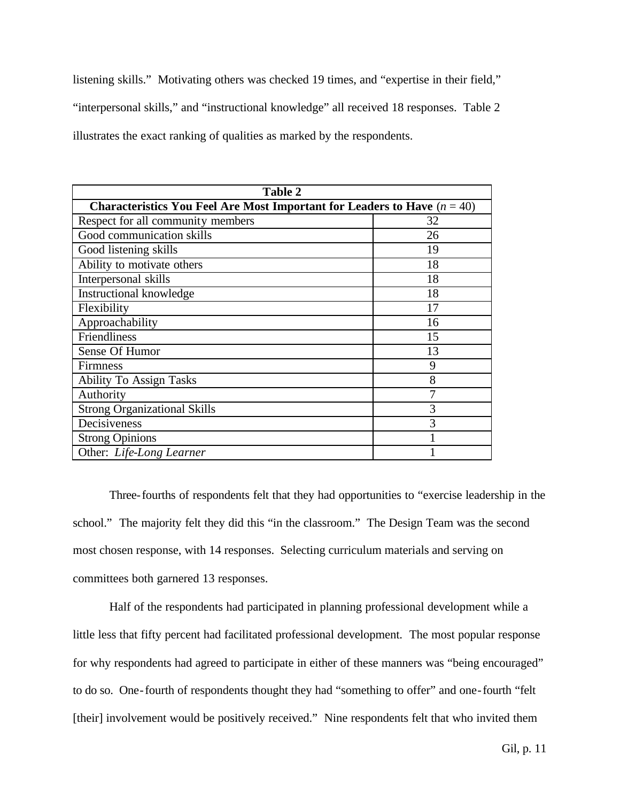listening skills." Motivating others was checked 19 times, and "expertise in their field," "interpersonal skills," and "instructional knowledge" all received 18 responses. Table 2 illustrates the exact ranking of qualities as marked by the respondents.

| <b>Table 2</b>                      |                                                                            |  |  |  |
|-------------------------------------|----------------------------------------------------------------------------|--|--|--|
|                                     | Characteristics You Feel Are Most Important for Leaders to Have $(n = 40)$ |  |  |  |
| Respect for all community members   | 32                                                                         |  |  |  |
| Good communication skills           | 26                                                                         |  |  |  |
| Good listening skills               | 19                                                                         |  |  |  |
| Ability to motivate others          | 18                                                                         |  |  |  |
| Interpersonal skills                | 18                                                                         |  |  |  |
| <b>Instructional knowledge</b>      | 18                                                                         |  |  |  |
| Flexibility                         | 17                                                                         |  |  |  |
| Approachability                     | 16                                                                         |  |  |  |
| Friendliness                        | 15                                                                         |  |  |  |
| Sense Of Humor                      | 13                                                                         |  |  |  |
| <b>Firmness</b>                     | 9                                                                          |  |  |  |
| <b>Ability To Assign Tasks</b>      | 8                                                                          |  |  |  |
| Authority                           | 7                                                                          |  |  |  |
| <b>Strong Organizational Skills</b> | 3                                                                          |  |  |  |
| Decisiveness                        | 3                                                                          |  |  |  |
| <b>Strong Opinions</b>              |                                                                            |  |  |  |
| Other: Life-Long Learner            |                                                                            |  |  |  |

Three-fourths of respondents felt that they had opportunities to "exercise leadership in the school." The majority felt they did this "in the classroom." The Design Team was the second most chosen response, with 14 responses. Selecting curriculum materials and serving on committees both garnered 13 responses.

Half of the respondents had participated in planning professional development while a little less that fifty percent had facilitated professional development. The most popular response for why respondents had agreed to participate in either of these manners was "being encouraged" to do so. One-fourth of respondents thought they had "something to offer" and one-fourth "felt [their] involvement would be positively received." Nine respondents felt that who invited them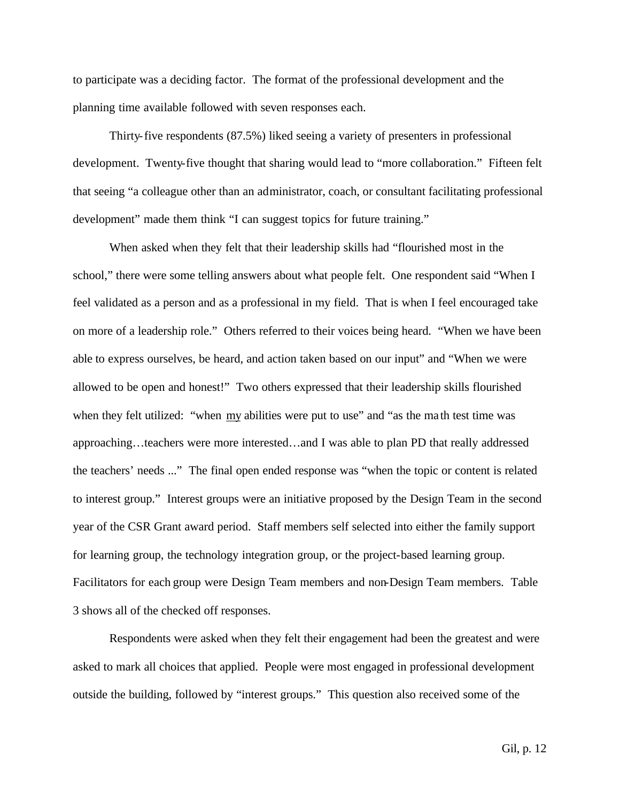to participate was a deciding factor. The format of the professional development and the planning time available followed with seven responses each.

Thirty-five respondents (87.5%) liked seeing a variety of presenters in professional development. Twenty-five thought that sharing would lead to "more collaboration." Fifteen felt that seeing "a colleague other than an administrator, coach, or consultant facilitating professional development" made them think "I can suggest topics for future training."

When asked when they felt that their leadership skills had "flourished most in the school," there were some telling answers about what people felt. One respondent said "When I feel validated as a person and as a professional in my field. That is when I feel encouraged take on more of a leadership role." Others referred to their voices being heard. "When we have been able to express ourselves, be heard, and action taken based on our input" and "When we were allowed to be open and honest!" Two others expressed that their leadership skills flourished when they felt utilized: "when  $\overline{my}$  abilities were put to use" and "as the math test time was approaching…teachers were more interested…and I was able to plan PD that really addressed the teachers' needs ..." The final open ended response was "when the topic or content is related to interest group." Interest groups were an initiative proposed by the Design Team in the second year of the CSR Grant award period. Staff members self selected into either the family support for learning group, the technology integration group, or the project-based learning group. Facilitators for each group were Design Team members and non-Design Team members. Table 3 shows all of the checked off responses.

Respondents were asked when they felt their engagement had been the greatest and were asked to mark all choices that applied. People were most engaged in professional development outside the building, followed by "interest groups." This question also received some of the

Gil, p. 12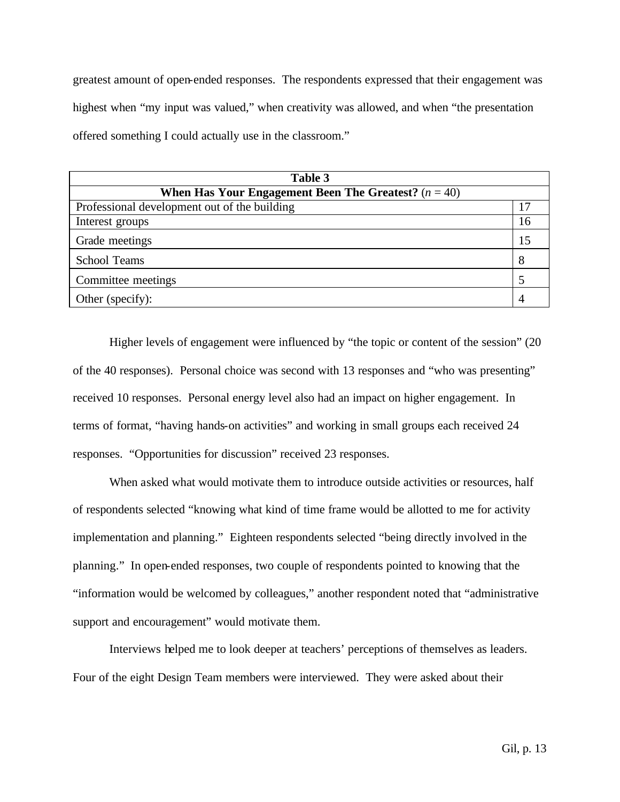greatest amount of open-ended responses. The respondents expressed that their engagement was highest when "my input was valued," when creativity was allowed, and when "the presentation offered something I could actually use in the classroom."

| Table 3                                                |    |  |
|--------------------------------------------------------|----|--|
| When Has Your Engagement Been The Greatest? $(n = 40)$ |    |  |
| Professional development out of the building           | 17 |  |
| Interest groups                                        | 16 |  |
| Grade meetings                                         | 15 |  |
| <b>School Teams</b>                                    | 8  |  |
| Committee meetings                                     |    |  |
| Other (specify):                                       | 4  |  |

Higher levels of engagement were influenced by "the topic or content of the session" (20 of the 40 responses). Personal choice was second with 13 responses and "who was presenting" received 10 responses. Personal energy level also had an impact on higher engagement. In terms of format, "having hands-on activities" and working in small groups each received 24 responses. "Opportunities for discussion" received 23 responses.

When asked what would motivate them to introduce outside activities or resources, half of respondents selected "knowing what kind of time frame would be allotted to me for activity implementation and planning." Eighteen respondents selected "being directly involved in the planning." In open-ended responses, two couple of respondents pointed to knowing that the "information would be welcomed by colleagues," another respondent noted that "administrative support and encouragement" would motivate them.

Interviews helped me to look deeper at teachers' perceptions of themselves as leaders. Four of the eight Design Team members were interviewed. They were asked about their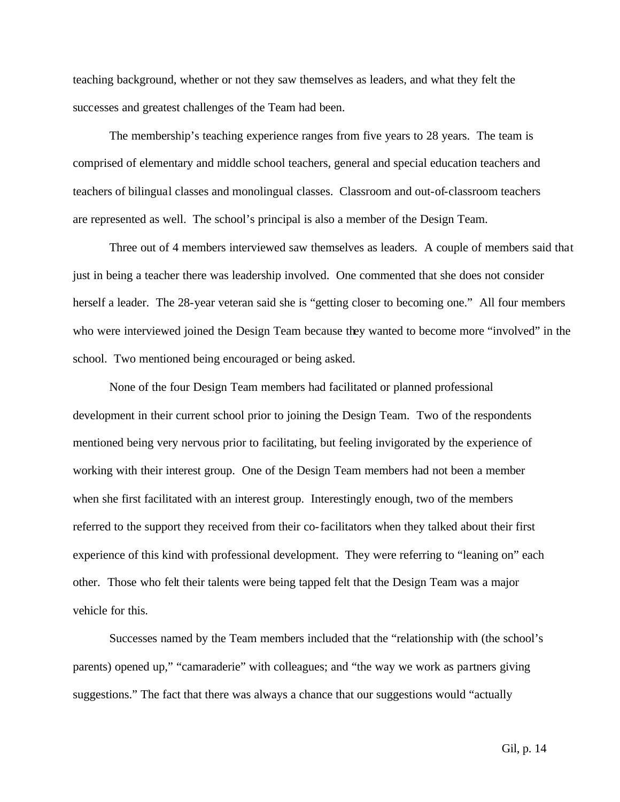teaching background, whether or not they saw themselves as leaders, and what they felt the successes and greatest challenges of the Team had been.

The membership's teaching experience ranges from five years to 28 years. The team is comprised of elementary and middle school teachers, general and special education teachers and teachers of bilingual classes and monolingual classes. Classroom and out-of-classroom teachers are represented as well. The school's principal is also a member of the Design Team.

Three out of 4 members interviewed saw themselves as leaders. A couple of members said that just in being a teacher there was leadership involved. One commented that she does not consider herself a leader. The 28-year veteran said she is "getting closer to becoming one." All four members who were interviewed joined the Design Team because they wanted to become more "involved" in the school. Two mentioned being encouraged or being asked.

None of the four Design Team members had facilitated or planned professional development in their current school prior to joining the Design Team. Two of the respondents mentioned being very nervous prior to facilitating, but feeling invigorated by the experience of working with their interest group. One of the Design Team members had not been a member when she first facilitated with an interest group. Interestingly enough, two of the members referred to the support they received from their co-facilitators when they talked about their first experience of this kind with professional development. They were referring to "leaning on" each other. Those who felt their talents were being tapped felt that the Design Team was a major vehicle for this.

Successes named by the Team members included that the "relationship with (the school's parents) opened up," "camaraderie" with colleagues; and "the way we work as partners giving suggestions." The fact that there was always a chance that our suggestions would "actually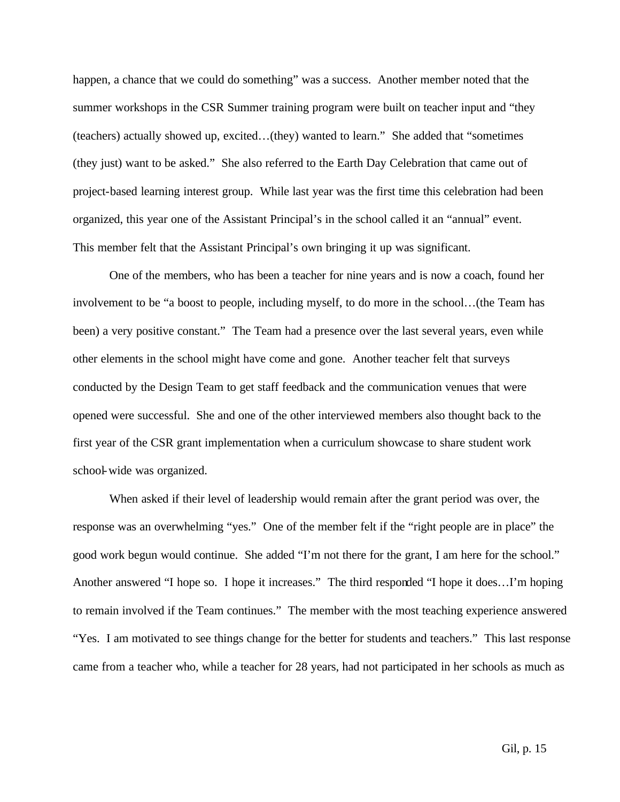happen, a chance that we could do something" was a success. Another member noted that the summer workshops in the CSR Summer training program were built on teacher input and "they (teachers) actually showed up, excited…(they) wanted to learn." She added that "sometimes (they just) want to be asked." She also referred to the Earth Day Celebration that came out of project-based learning interest group. While last year was the first time this celebration had been organized, this year one of the Assistant Principal's in the school called it an "annual" event. This member felt that the Assistant Principal's own bringing it up was significant.

One of the members, who has been a teacher for nine years and is now a coach, found her involvement to be "a boost to people, including myself, to do more in the school…(the Team has been) a very positive constant." The Team had a presence over the last several years, even while other elements in the school might have come and gone. Another teacher felt that surveys conducted by the Design Team to get staff feedback and the communication venues that were opened were successful. She and one of the other interviewed members also thought back to the first year of the CSR grant implementation when a curriculum showcase to share student work school-wide was organized.

When asked if their level of leadership would remain after the grant period was over, the response was an overwhelming "yes." One of the member felt if the "right people are in place" the good work begun would continue. She added "I'm not there for the grant, I am here for the school." Another answered "I hope so. I hope it increases." The third responded "I hope it does…I'm hoping to remain involved if the Team continues." The member with the most teaching experience answered "Yes. I am motivated to see things change for the better for students and teachers." This last response came from a teacher who, while a teacher for 28 years, had not participated in her schools as much as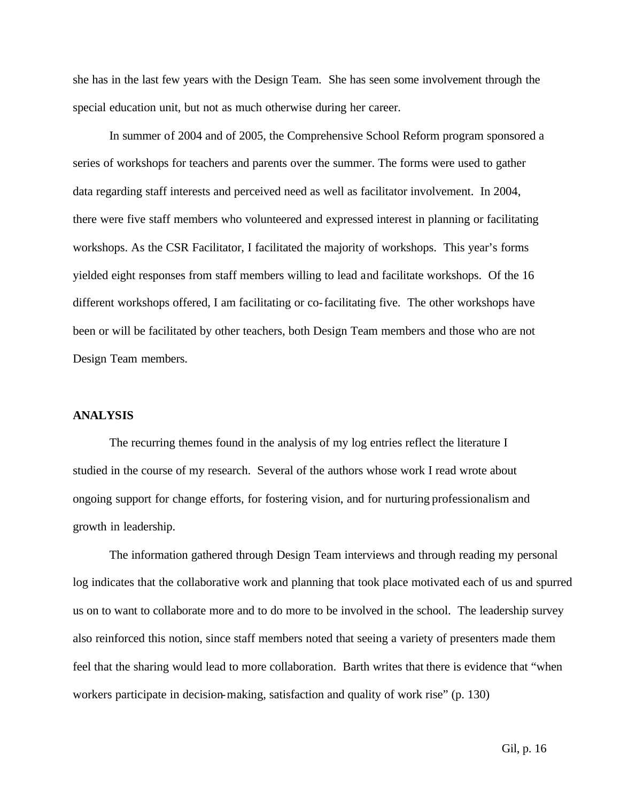she has in the last few years with the Design Team. She has seen some involvement through the special education unit, but not as much otherwise during her career.

In summer of 2004 and of 2005, the Comprehensive School Reform program sponsored a series of workshops for teachers and parents over the summer. The forms were used to gather data regarding staff interests and perceived need as well as facilitator involvement. In 2004, there were five staff members who volunteered and expressed interest in planning or facilitating workshops. As the CSR Facilitator, I facilitated the majority of workshops. This year's forms yielded eight responses from staff members willing to lead and facilitate workshops. Of the 16 different workshops offered, I am facilitating or co-facilitating five. The other workshops have been or will be facilitated by other teachers, both Design Team members and those who are not Design Team members.

#### **ANALYSIS**

The recurring themes found in the analysis of my log entries reflect the literature I studied in the course of my research. Several of the authors whose work I read wrote about ongoing support for change efforts, for fostering vision, and for nurturing professionalism and growth in leadership.

The information gathered through Design Team interviews and through reading my personal log indicates that the collaborative work and planning that took place motivated each of us and spurred us on to want to collaborate more and to do more to be involved in the school. The leadership survey also reinforced this notion, since staff members noted that seeing a variety of presenters made them feel that the sharing would lead to more collaboration. Barth writes that there is evidence that "when workers participate in decision-making, satisfaction and quality of work rise" (p. 130)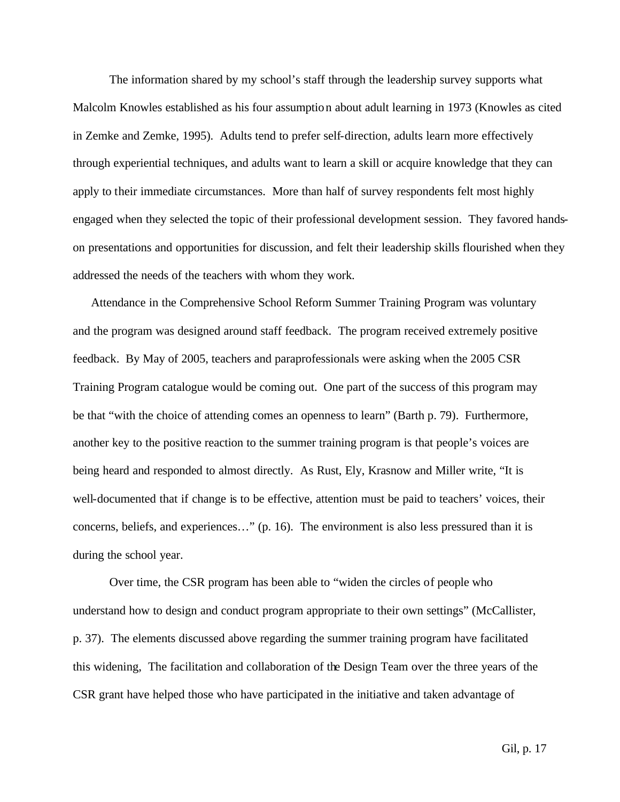The information shared by my school's staff through the leadership survey supports what Malcolm Knowles established as his four assumption about adult learning in 1973 (Knowles as cited in Zemke and Zemke, 1995). Adults tend to prefer self-direction, adults learn more effectively through experiential techniques, and adults want to learn a skill or acquire knowledge that they can apply to their immediate circumstances. More than half of survey respondents felt most highly engaged when they selected the topic of their professional development session. They favored handson presentations and opportunities for discussion, and felt their leadership skills flourished when they addressed the needs of the teachers with whom they work.

Attendance in the Comprehensive School Reform Summer Training Program was voluntary and the program was designed around staff feedback. The program received extremely positive feedback. By May of 2005, teachers and paraprofessionals were asking when the 2005 CSR Training Program catalogue would be coming out. One part of the success of this program may be that "with the choice of attending comes an openness to learn" (Barth p. 79). Furthermore, another key to the positive reaction to the summer training program is that people's voices are being heard and responded to almost directly. As Rust, Ely, Krasnow and Miller write, "It is well-documented that if change is to be effective, attention must be paid to teachers' voices, their concerns, beliefs, and experiences…" (p. 16). The environment is also less pressured than it is during the school year.

Over time, the CSR program has been able to "widen the circles of people who understand how to design and conduct program appropriate to their own settings" (McCallister, p. 37). The elements discussed above regarding the summer training program have facilitated this widening, The facilitation and collaboration of the Design Team over the three years of the CSR grant have helped those who have participated in the initiative and taken advantage of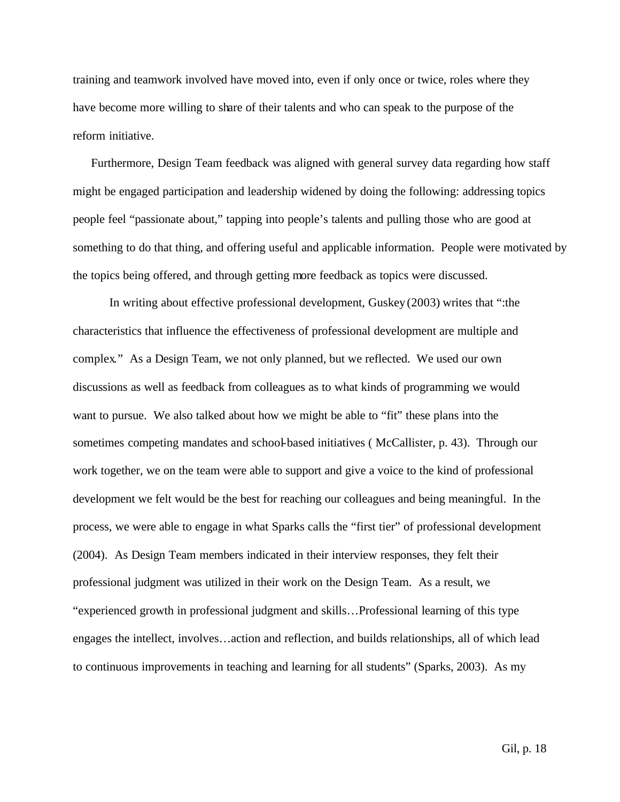training and teamwork involved have moved into, even if only once or twice, roles where they have become more willing to share of their talents and who can speak to the purpose of the reform initiative.

Furthermore, Design Team feedback was aligned with general survey data regarding how staff might be engaged participation and leadership widened by doing the following: addressing topics people feel "passionate about," tapping into people's talents and pulling those who are good at something to do that thing, and offering useful and applicable information. People were motivated by the topics being offered, and through getting more feedback as topics were discussed.

In writing about effective professional development, Guskey (2003) writes that ":the characteristics that influence the effectiveness of professional development are multiple and complex." As a Design Team, we not only planned, but we reflected. We used our own discussions as well as feedback from colleagues as to what kinds of programming we would want to pursue. We also talked about how we might be able to "fit" these plans into the sometimes competing mandates and school-based initiatives ( McCallister, p. 43). Through our work together, we on the team were able to support and give a voice to the kind of professional development we felt would be the best for reaching our colleagues and being meaningful. In the process, we were able to engage in what Sparks calls the "first tier" of professional development (2004). As Design Team members indicated in their interview responses, they felt their professional judgment was utilized in their work on the Design Team. As a result, we "experienced growth in professional judgment and skills…Professional learning of this type engages the intellect, involves…action and reflection, and builds relationships, all of which lead to continuous improvements in teaching and learning for all students" (Sparks, 2003). As my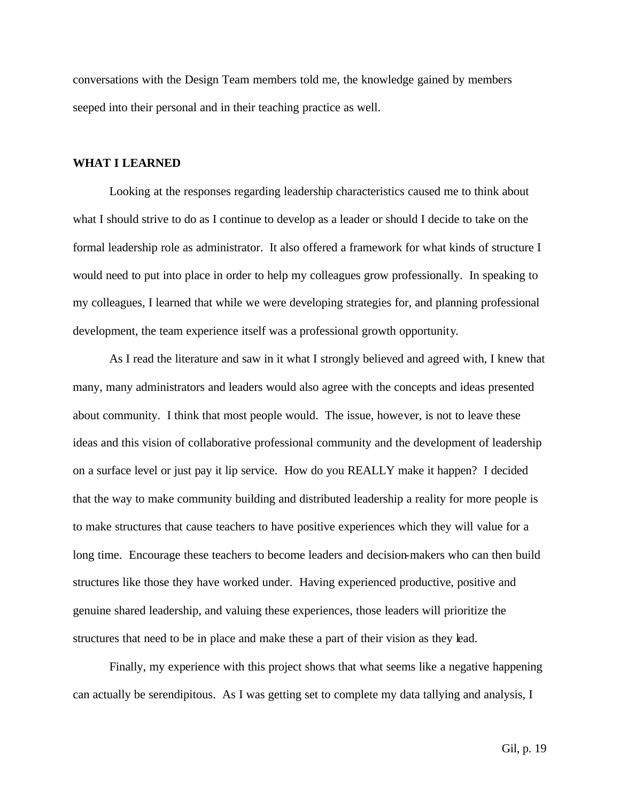conversations with the Design Team members told me, the knowledge gained by members seeped into their personal and in their teaching practice as well.

#### **WHAT I LEARNED**

Looking at the responses regarding leadership characteristics caused me to think about what I should strive to do as I continue to develop as a leader or should I decide to take on the formal leadership role as administrator. It also offered a framework for what kinds of structure I would need to put into place in order to help my colleagues grow professionally. In speaking to my colleagues, I learned that while we were developing strategies for, and planning professional development, the team experience itself was a professional growth opportunity.

As I read the literature and saw in it what I strongly believed and agreed with, I knew that many, many administrators and leaders would also agree with the concepts and ideas presented about community. I think that most people would. The issue, however, is not to leave these ideas and this vision of collaborative professional community and the development of leadership on a surface level or just pay it lip service. How do you REALLY make it happen? I decided that the way to make community building and distributed leadership a reality for more people is to make structures that cause teachers to have positive experiences which they will value for a long time. Encourage these teachers to become leaders and decision-makers who can then build structures like those they have worked under. Having experienced productive, positive and genuine shared leadership, and valuing these experiences, those leaders will prioritize the structures that need to be in place and make these a part of their vision as they lead.

Finally, my experience with this project shows that what seems like a negative happening can actually be serendipitous. As I was getting set to complete my data tallying and analysis, I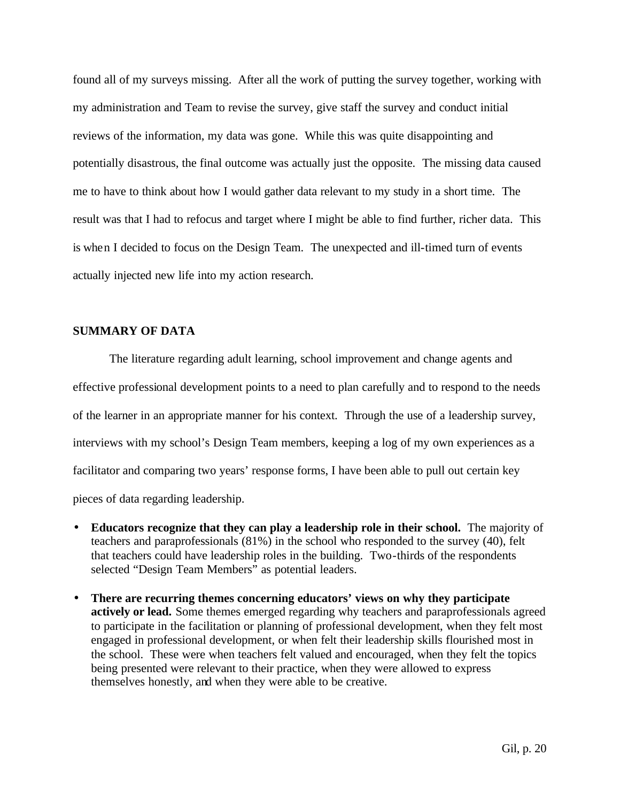found all of my surveys missing. After all the work of putting the survey together, working with my administration and Team to revise the survey, give staff the survey and conduct initial reviews of the information, my data was gone. While this was quite disappointing and potentially disastrous, the final outcome was actually just the opposite. The missing data caused me to have to think about how I would gather data relevant to my study in a short time. The result was that I had to refocus and target where I might be able to find further, richer data. This is when I decided to focus on the Design Team. The unexpected and ill-timed turn of events actually injected new life into my action research.

## **SUMMARY OF DATA**

The literature regarding adult learning, school improvement and change agents and effective professional development points to a need to plan carefully and to respond to the needs of the learner in an appropriate manner for his context. Through the use of a leadership survey, interviews with my school's Design Team members, keeping a log of my own experiences as a facilitator and comparing two years' response forms, I have been able to pull out certain key pieces of data regarding leadership.

- **Educators recognize that they can play a leadership role in their school.** The majority of teachers and paraprofessionals (81%) in the school who responded to the survey (40), felt that teachers could have leadership roles in the building. Two-thirds of the respondents selected "Design Team Members" as potential leaders.
- **There are recurring themes concerning educators' views on why they participate actively or lead.** Some themes emerged regarding why teachers and paraprofessionals agreed to participate in the facilitation or planning of professional development, when they felt most engaged in professional development, or when felt their leadership skills flourished most in the school. These were when teachers felt valued and encouraged, when they felt the topics being presented were relevant to their practice, when they were allowed to express themselves honestly, and when they were able to be creative.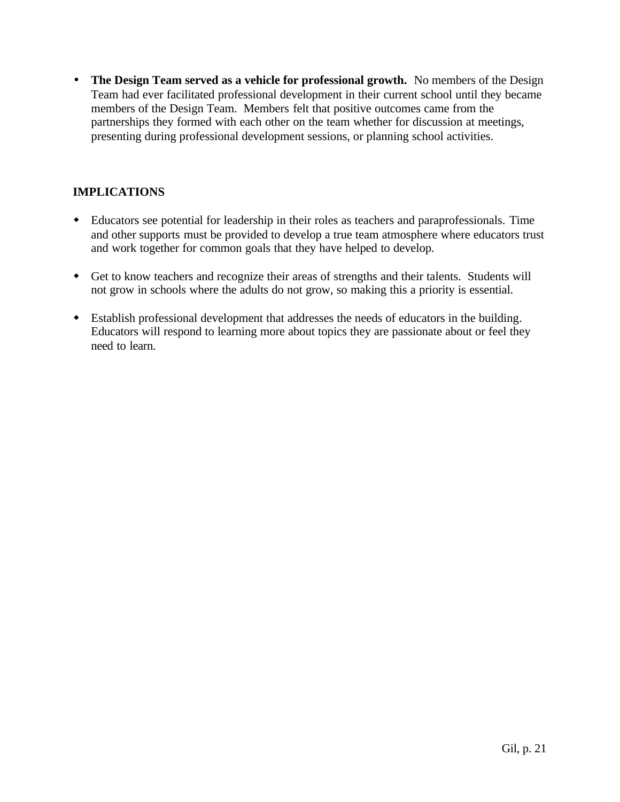• **The Design Team served as a vehicle for professional growth.** No members of the Design Team had ever facilitated professional development in their current school until they became members of the Design Team. Members felt that positive outcomes came from the partnerships they formed with each other on the team whether for discussion at meetings, presenting during professional development sessions, or planning school activities.

# **IMPLICATIONS**

- w Educators see potential for leadership in their roles as teachers and paraprofessionals. Time and other supports must be provided to develop a true team atmosphere where educators trust and work together for common goals that they have helped to develop.
- w Get to know teachers and recognize their areas of strengths and their talents. Students will not grow in schools where the adults do not grow, so making this a priority is essential.
- w Establish professional development that addresses the needs of educators in the building. Educators will respond to learning more about topics they are passionate about or feel they need to learn.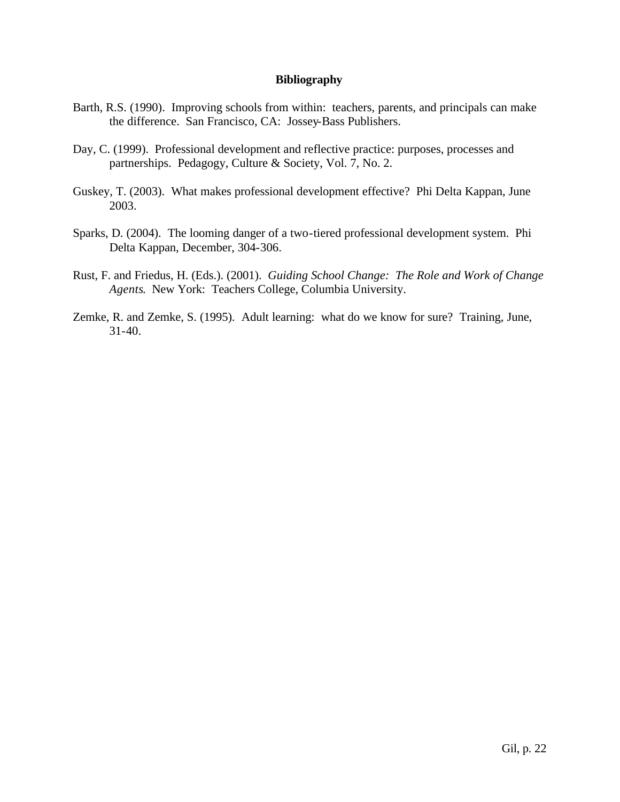## **Bibliography**

- Barth, R.S. (1990). Improving schools from within: teachers, parents, and principals can make the difference. San Francisco, CA: Jossey-Bass Publishers.
- Day, C. (1999). Professional development and reflective practice: purposes, processes and partnerships. Pedagogy, Culture & Society, Vol. 7, No. 2.
- Guskey, T. (2003). What makes professional development effective? Phi Delta Kappan, June 2003.
- Sparks, D. (2004). The looming danger of a two-tiered professional development system. Phi Delta Kappan, December, 304-306.
- Rust, F. and Friedus, H. (Eds.). (2001). *Guiding School Change: The Role and Work of Change Agents*. New York: Teachers College, Columbia University.
- Zemke, R. and Zemke, S. (1995). Adult learning: what do we know for sure? Training, June, 31-40.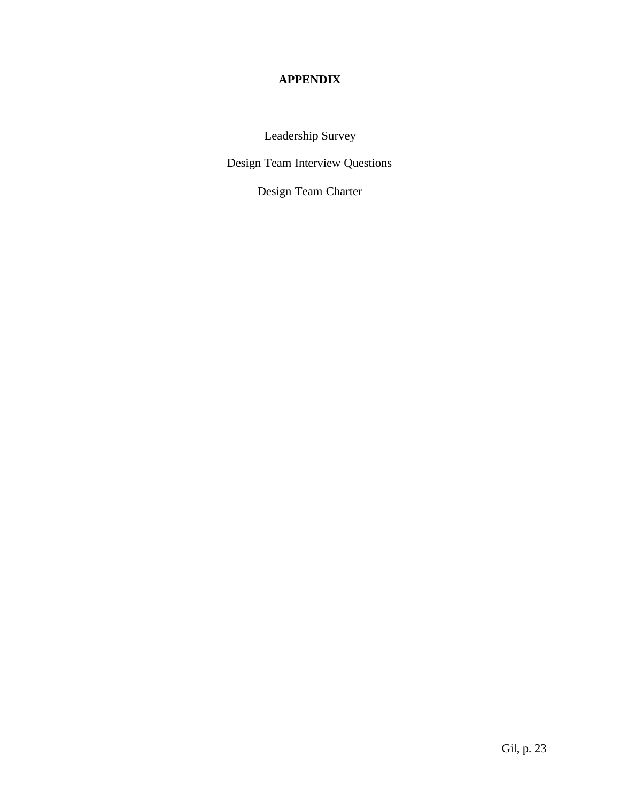# **APPENDIX**

Leadership Survey

Design Team Interview Questions

Design Team Charter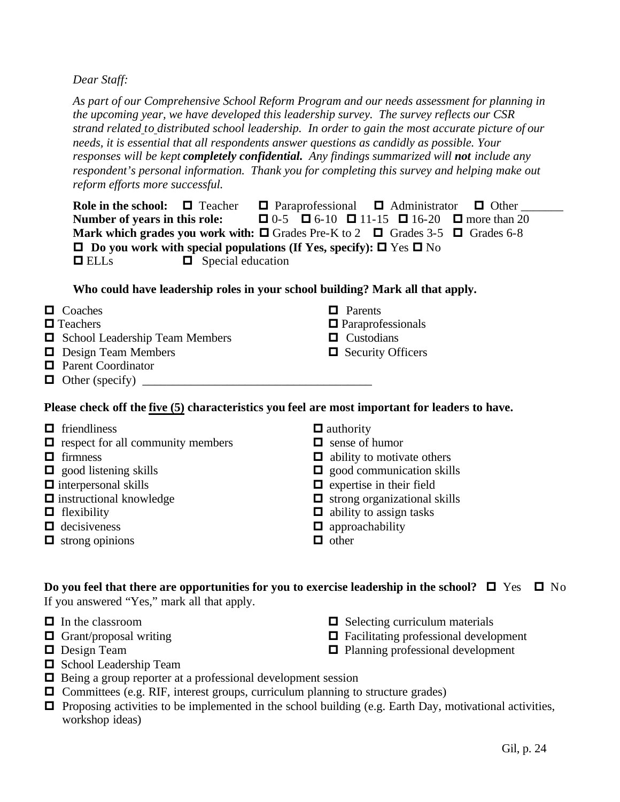*Dear Staff:*

*As part of our Comprehensive School Reform Program and our needs assessment for planning in the upcoming year, we have developed this leadership survey. The survey reflects our CSR strand related to distributed school leadership. In order to gain the most accurate picture of our needs, it is essential that all respondents answer questions as candidly as possible. Your responses will be kept completely confidential. Any findings summarized will not include any respondent's personal information. Thank you for completing this survey and helping make out reform efforts more successful.* 

**Role in the school:**  $\Box$  Teacher  $\Box$  Paraprofessional  $\Box$  Administrator  $\Box$  Other **Number of years in this role:**  $\Box$  0-5  $\Box$  6-10  $\Box$  11-15  $\Box$  16-20  $\Box$  more than 20 **Mark which grades you work with:**  $\Box$  Grades Pre-K to 2  $\Box$  Grades 3-5  $\Box$  Grades 6-8  $\Box$  Do you work with special populations (If Yes, specify):  $\Box$  Yes  $\Box$  No  $\Box$  ELLs  $\Box$  Special education

 $\Box$  Parents

 $\Box$  Paraprofessionals  $\Box$  Custodians  $\Box$  Security Officers

# **Who could have leadership roles in your school building? Mark all that apply.**

- $\Box$  Coaches
- $\blacksquare$  Teachers
- $\Box$  School Leadership Team Members
- $\Box$  Design Team Members
- $\Box$  Parent Coordinator
- $\Box$  Other (specify)

# **Please check off the five (5) characteristics you feel are most important for leaders to have.**

| $\Box$ friendliness                      | $\Box$ authority                    |
|------------------------------------------|-------------------------------------|
| $\Box$ respect for all community members | $\Box$ sense of humor               |
| $\Box$ firmness                          | $\Box$ ability to motivate others   |
| $\Box$ good listening skills             | $\Box$ good communication skills    |
| $\Box$ interpersonal skills              | $\Box$ expertise in their field     |
| $\Box$ instructional knowledge           | $\Box$ strong organizational skills |
| $\Box$ flexibility                       | $\Box$ ability to assign tasks      |
| $\Box$ decisiveness                      | $\Box$ approachability              |
| $\Box$ strong opinions                   | other                               |

# **Do you feel that there are opportunities for you to exercise leadership in the school?**  $\Box$  Yes  $\Box$  No If you answered "Yes," mark all that apply.

- $\Box$  In the classroom
- $\Box$  Grant/proposal writing
- $\Box$  Design Team
- $\Box$  School Leadership Team
- $\Box$  Being a group reporter at a professional development session
- $\Box$  Committees (e.g. RIF, interest groups, curriculum planning to structure grades)
- **P** Proposing activities to be implemented in the school building (e.g. Earth Day, motivational activities, workshop ideas)
- $\Box$  Selecting curriculum materials
- $\Box$  Facilitating professional development
- $\Box$  Planning professional development

Gil, p. 24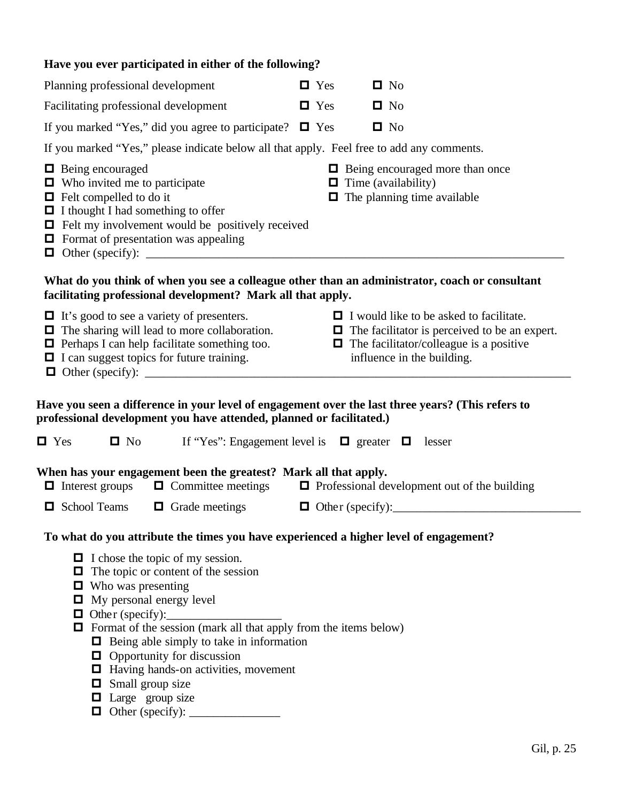| Have you ever participated in either of the following?                                                                                                                                                                                                                                                                                                                                                                                                   |                                                                                                            |  |  |  |  |
|----------------------------------------------------------------------------------------------------------------------------------------------------------------------------------------------------------------------------------------------------------------------------------------------------------------------------------------------------------------------------------------------------------------------------------------------------------|------------------------------------------------------------------------------------------------------------|--|--|--|--|
| Planning professional development                                                                                                                                                                                                                                                                                                                                                                                                                        | $\blacksquare$ Yes<br>$\blacksquare$ No                                                                    |  |  |  |  |
| Facilitating professional development                                                                                                                                                                                                                                                                                                                                                                                                                    | $\blacksquare$ Yes<br>$\blacksquare$ No                                                                    |  |  |  |  |
| If you marked "Yes," did you agree to participate? $\Box$ Yes                                                                                                                                                                                                                                                                                                                                                                                            | $\blacksquare$ No                                                                                          |  |  |  |  |
| If you marked "Yes," please indicate below all that apply. Feel free to add any comments.                                                                                                                                                                                                                                                                                                                                                                |                                                                                                            |  |  |  |  |
| $\Box$ Being encouraged<br>$\Box$ Who invited me to participate<br>$\Box$ Felt compelled to do it<br>I I thought I had something to offer<br>$\Box$ Felt my involvement would be positively received<br>$\Box$ Format of presentation was appealing                                                                                                                                                                                                      | $\Box$ Being encouraged more than once<br>$\Box$ Time (availability)<br>$\Box$ The planning time available |  |  |  |  |
| What do you think of when you see a colleague other than an administrator, coach or consultant<br>facilitating professional development? Mark all that apply.                                                                                                                                                                                                                                                                                            |                                                                                                            |  |  |  |  |
| $\Box$ It's good to see a variety of presenters.<br>$\Box$ I would like to be asked to facilitate.<br>$\Box$ The sharing will lead to more collaboration.<br>$\Box$ The facilitator is perceived to be an expert.<br>$\Box$ Perhaps I can help facilitate something too.<br>$\Box$ The facilitator/colleague is a positive<br>influence in the building.<br>$\Box$ I can suggest topics for future training.                                             |                                                                                                            |  |  |  |  |
| Have you seen a difference in your level of engagement over the last three years? (This refers to<br>professional development you have attended, planned or facilitated.)<br>$\blacksquare$ Yes<br>$\blacksquare$ No<br>If "Yes": Engagement level is $\Box$ greater $\Box$ lesser                                                                                                                                                                       |                                                                                                            |  |  |  |  |
| When has your engagement been the greatest? Mark all that apply.<br>$\Box$ Committee meetings<br>$\Box$ Professional development out of the building<br>$\Box$ Interest groups                                                                                                                                                                                                                                                                           |                                                                                                            |  |  |  |  |
| □ School Teams<br>$\Box$ Grade meetings                                                                                                                                                                                                                                                                                                                                                                                                                  |                                                                                                            |  |  |  |  |
| To what do you attribute the times you have experienced a higher level of engagement?                                                                                                                                                                                                                                                                                                                                                                    |                                                                                                            |  |  |  |  |
| $\Box$ I chose the topic of my session.<br>$\Box$ The topic or content of the session<br>$\Box$ Who was presenting<br>$\Box$ My personal energy level<br>$\Box$ Other (specify):<br>$\Box$ Format of the session (mark all that apply from the items below)<br>$\Box$ Being able simply to take in information<br>$\Box$ Opportunity for discussion<br>$\Box$ Having hands-on activities, movement<br>$\Box$ Small group size<br>$\Box$ Large group size |                                                                                                            |  |  |  |  |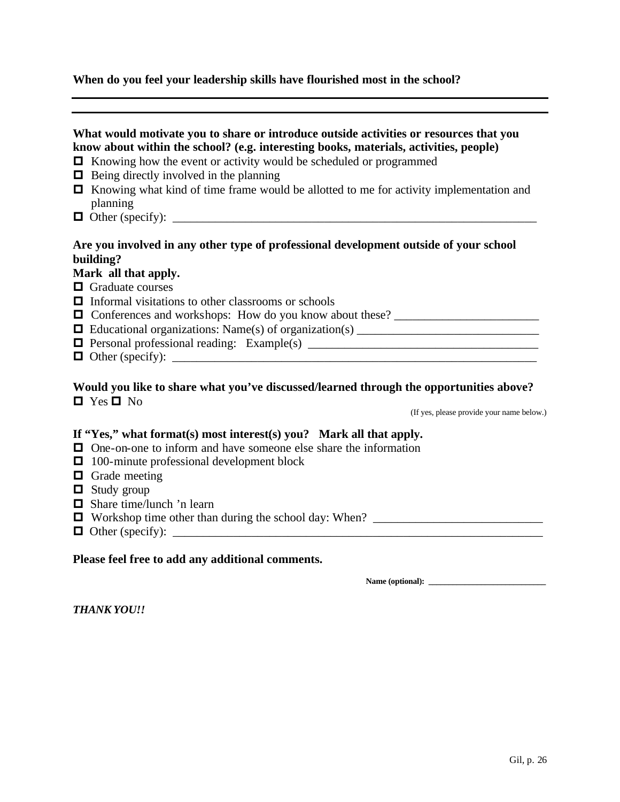# **When do you feel your leadership skills have flourished most in the school?**

| What would motivate you to share or introduce outside activities or resources that you<br>know about within the school? (e.g. interesting books, materials, activities, people)<br>$\Box$ Knowing how the event or activity would be scheduled or programmed<br>$\Box$ Being directly involved in the planning<br>□ Knowing what kind of time frame would be allotted to me for activity implementation and<br>planning |
|-------------------------------------------------------------------------------------------------------------------------------------------------------------------------------------------------------------------------------------------------------------------------------------------------------------------------------------------------------------------------------------------------------------------------|
| Are you involved in any other type of professional development outside of your school<br>building?                                                                                                                                                                                                                                                                                                                      |
| Mark all that apply.                                                                                                                                                                                                                                                                                                                                                                                                    |
| $\Box$ Graduate courses                                                                                                                                                                                                                                                                                                                                                                                                 |
| $\Box$ Informal visitations to other classrooms or schools                                                                                                                                                                                                                                                                                                                                                              |
| <b>O</b> Conferences and workshops: How do you know about these?                                                                                                                                                                                                                                                                                                                                                        |
| □ Educational organizations: Name(s) of organization(s) _________________________                                                                                                                                                                                                                                                                                                                                       |
|                                                                                                                                                                                                                                                                                                                                                                                                                         |
|                                                                                                                                                                                                                                                                                                                                                                                                                         |
| Would you like to share what you've discussed/learned through the opportunities above?<br>$\blacksquare$ Yes $\blacksquare$ No<br>(If yes, please provide your name below.)                                                                                                                                                                                                                                             |
| If "Yes," what format(s) most interest(s) you? Mark all that apply.                                                                                                                                                                                                                                                                                                                                                     |
| $\Box$ One-on-one to inform and have someone else share the information                                                                                                                                                                                                                                                                                                                                                 |
| $\Box$ 100-minute professional development block                                                                                                                                                                                                                                                                                                                                                                        |
| $\Box$ Grade meeting                                                                                                                                                                                                                                                                                                                                                                                                    |
| $\Box$ Study group                                                                                                                                                                                                                                                                                                                                                                                                      |
| $\Box$ Share time/lunch 'n learn                                                                                                                                                                                                                                                                                                                                                                                        |
|                                                                                                                                                                                                                                                                                                                                                                                                                         |
|                                                                                                                                                                                                                                                                                                                                                                                                                         |

# **Please feel free to add any additional comments.**

**Name (optional): \_\_\_\_\_\_\_\_\_\_\_\_\_\_\_\_\_\_\_\_\_\_\_\_\_\_\_\_\_**

*THANK YOU!!*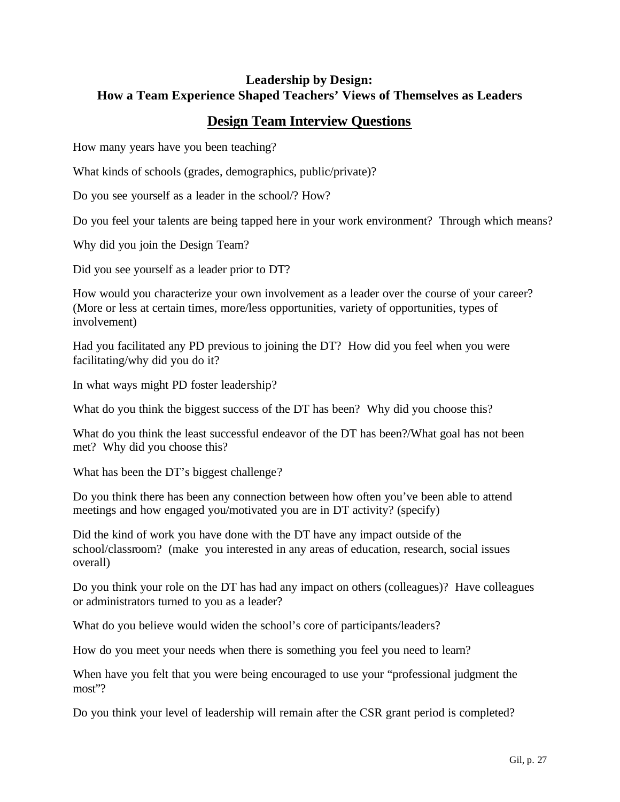# **Leadership by Design: How a Team Experience Shaped Teachers' Views of Themselves as Leaders**

# **Design Team Interview Questions**

How many years have you been teaching?

What kinds of schools (grades, demographics, public/private)?

Do you see yourself as a leader in the school/? How?

Do you feel your talents are being tapped here in your work environment? Through which means?

Why did you join the Design Team?

Did you see yourself as a leader prior to DT?

How would you characterize your own involvement as a leader over the course of your career? (More or less at certain times, more/less opportunities, variety of opportunities, types of involvement)

Had you facilitated any PD previous to joining the DT? How did you feel when you were facilitating/why did you do it?

In what ways might PD foster leadership?

What do you think the biggest success of the DT has been? Why did you choose this?

What do you think the least successful endeavor of the DT has been?/What goal has not been met? Why did you choose this?

What has been the DT's biggest challenge?

Do you think there has been any connection between how often you've been able to attend meetings and how engaged you/motivated you are in DT activity? (specify)

Did the kind of work you have done with the DT have any impact outside of the school/classroom? (make you interested in any areas of education, research, social issues overall)

Do you think your role on the DT has had any impact on others (colleagues)? Have colleagues or administrators turned to you as a leader?

What do you believe would widen the school's core of participants/leaders?

How do you meet your needs when there is something you feel you need to learn?

When have you felt that you were being encouraged to use your "professional judgment the most"?

Do you think your level of leadership will remain after the CSR grant period is completed?